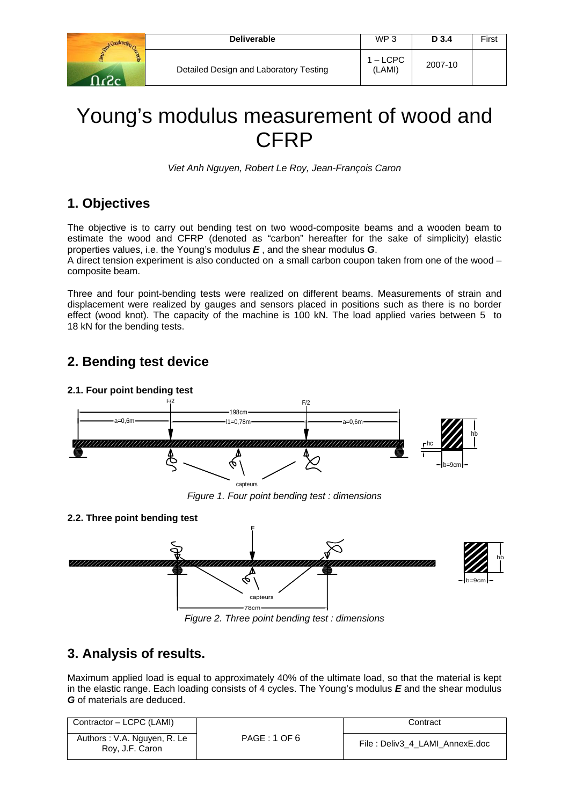| constructs              | <b>Deliverable</b>                     | WP 3                 | D 3.4   | First |
|-------------------------|----------------------------------------|----------------------|---------|-------|
| <b>Scients</b><br>⊸כי∠∩ | Detailed Design and Laboratory Testing | $1 -$ LCPC<br>(LAMI) | 2007-10 |       |

# Young's modulus measurement of wood and **CFRP**

*Viet Anh Nguyen, Robert Le Roy, Jean-François Caron* 

### **1. Objectives**

The objective is to carry out bending test on two wood-composite beams and a wooden beam to estimate the wood and CFRP (denoted as "carbon" hereafter for the sake of simplicity) elastic properties values, i.e. the Young's modulus *E* , and the shear modulus *G*.

A direct tension experiment is also conducted on a small carbon coupon taken from one of the wood – composite beam.

Three and four point-bending tests were realized on different beams. Measurements of strain and displacement were realized by gauges and sensors placed in positions such as there is no border effect (wood knot). The capacity of the machine is 100 kN. The load applied varies between 5 to 18 kN for the bending tests.

## **2. Bending test device**

#### **2.1. Four point bending test**



*Figure 1. Four point bending test : dimensions*



*Figure 2. Three point bending test : dimensions*

### **3. Analysis of results.**

Maximum applied load is equal to approximately 40% of the ultimate load, so that the material is kept in the elastic range. Each loading consists of 4 cycles. The Young's modulus *E* and the shear modulus *G* of materials are deduced.

| Contractor - LCPC (LAMI)                       |              | Contract                       |
|------------------------------------------------|--------------|--------------------------------|
| Authors: V.A. Nguyen, R. Le<br>Roy, J.F. Caron | PAGE: 1 OF 6 | File: Deliv3 4 LAMI AnnexE.doc |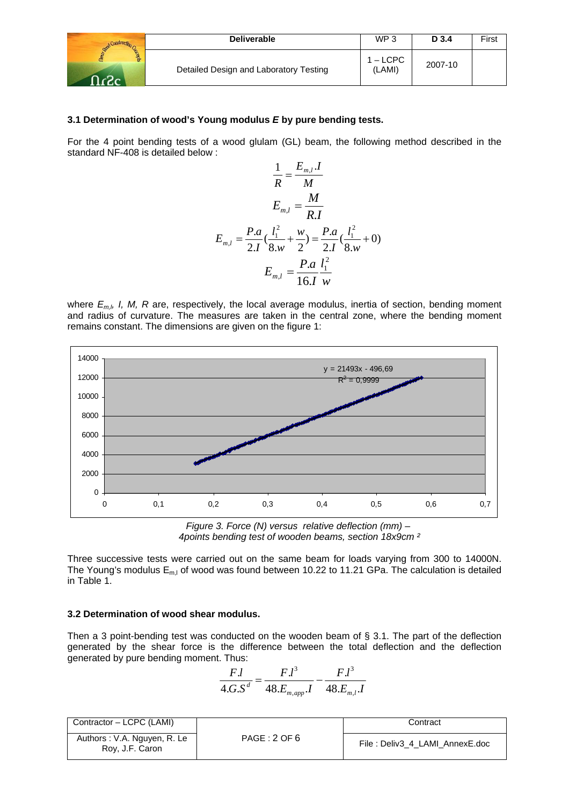|                      | <b>Deliverable</b>                     | WP <sub>3</sub>    | D 3.4   | First |
|----------------------|----------------------------------------|--------------------|---------|-------|
| <b>Scepts</b><br>ാ - | Detailed Design and Laboratory Testing | 1 – LCPC<br>(LAMI) | 2007-10 |       |

#### **3.1 Determination of wood's Young modulus** *E* **by pure bending tests.**

For the 4 point bending tests of a wood glulam (GL) beam, the following method described in the standard NF-408 is detailed below :

$$
\frac{1}{R} = \frac{E_{m,l} I}{M}
$$

$$
E_{m,l} = \frac{M}{R.I}
$$

$$
E_{m,l} = \frac{P.a}{2.I} (\frac{l_1^2}{8.w} + \frac{w}{2}) = \frac{P.a}{2.I} (\frac{l_1^2}{8.w} + 0)
$$

$$
E_{m,l} = \frac{P.a}{16.I} \frac{l_1^2}{w}
$$

where  $E_{m,l}$ , I, M, R are, respectively, the local average modulus, inertia of section, bending moment and radius of curvature. The measures are taken in the central zone, where the bending moment remains constant. The dimensions are given on the figure 1:



 *4points bending test of wooden beams, section 18x9cm ²* 

Three successive tests were carried out on the same beam for loads varying from 300 to 14000N. The Young's modulus  $E_{m,l}$  of wood was found between 10.22 to 11.21 GPa. The calculation is detailed in Table 1.

#### **3.2 Determination of wood shear modulus.**

Then a 3 point-bending test was conducted on the wooden beam of § 3.1. The part of the deflection generated by the shear force is the difference between the total deflection and the deflection generated by pure bending moment. Thus:

$$
\frac{F.l}{4.G.S^d} = \frac{F.l^3}{48.E_{m,app}.I} - \frac{F.l^3}{48.E_{m,I}.I}
$$

| Contractor - LCPC (LAMI)                       |              | Contract                       |
|------------------------------------------------|--------------|--------------------------------|
| Authors: V.A. Nguyen, R. Le<br>Roy, J.F. Caron | PAGE: 2 OF 6 | File: Deliv3 4 LAMI AnnexE.doc |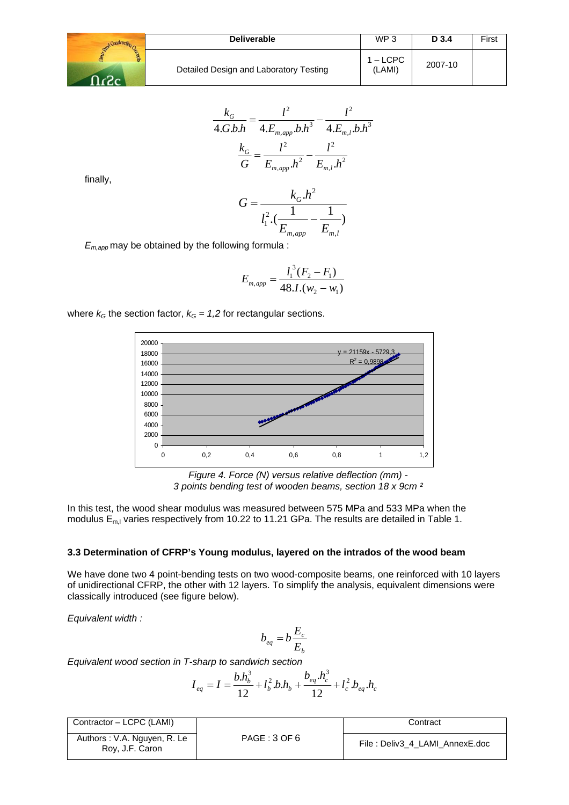

$$
\frac{k_G}{4.G.b.h} = \frac{l^2}{4.E_{m,app}.b.h^3} - \frac{l^2}{4.E_{m,l}.b.h^3}
$$

$$
\frac{k_G}{G} = \frac{l^2}{E_{m,app}.h^2} - \frac{l^2}{E_{m,l}.h^2}
$$

finally,

$$
G = \frac{k_G.h^2}{l_1^2 \cdot (\frac{1}{E_{m,app}} - \frac{1}{E_{m,l}})}
$$

*Em,app* may be obtained by the following formula :

$$
E_{m,app} = \frac{l_1^3 (F_2 - F_1)}{48.1.(w_2 - w_1)}
$$

where  $k<sub>G</sub>$  the section factor,  $k<sub>G</sub> = 1.2$  for rectangular sections.



*Figure 4. Force (N) versus relative deflection (mm) - 3 points bending test of wooden beams, section 18 x 9cm ²* 

In this test, the wood shear modulus was measured between 575 MPa and 533 MPa when the modulus  $E_{m,l}$  varies respectively from 10.22 to 11.21 GPa. The results are detailed in Table 1.

#### **3.3 Determination of CFRP's Young modulus, layered on the intrados of the wood beam**

We have done two 4 point-bending tests on two wood-composite beams, one reinforced with 10 layers of unidirectional CFRP, the other with 12 layers. To simplify the analysis, equivalent dimensions were classically introduced (see figure below).

*Equivalent width :* 

$$
b_{eq} = b \frac{E_c}{E_b}
$$

*Equivalent wood section in T-sharp to sandwich section* 

$$
I_{eq} = I = \frac{b.h_b^3}{12} + l_b^2 b.h_b + \frac{b_{eq} h_c^3}{12} + l_c^2 b_{eq} h_c
$$

| Contractor - LCPC (LAMI)                       |              | Contract                       |
|------------------------------------------------|--------------|--------------------------------|
| Authors: V.A. Nguyen, R. Le<br>Roy, J.F. Caron | PAGE: 3 OF 6 | File: Deliv3 4 LAMI AnnexE.doc |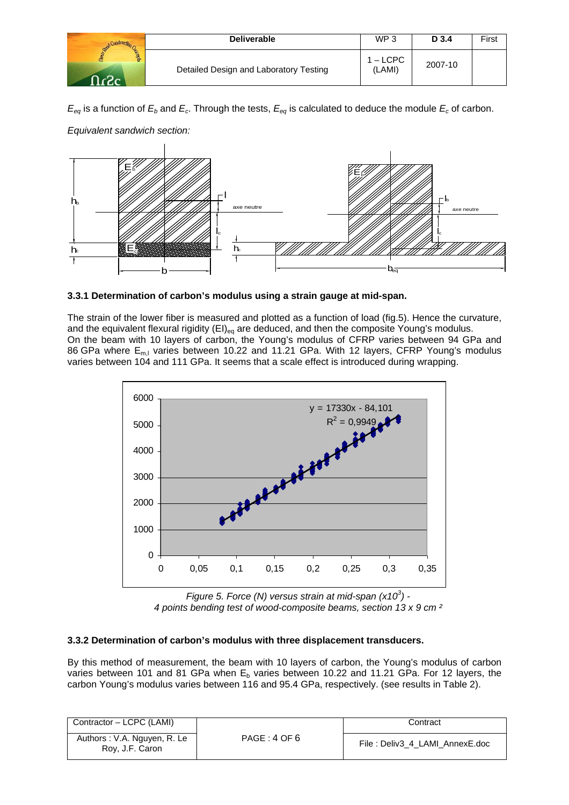| Construct:          | <b>Deliverable</b>                     | WP <sub>3</sub>    | D 3.4   | First |
|---------------------|----------------------------------------|--------------------|---------|-------|
| <b>SPORTS</b><br>ഹം | Detailed Design and Laboratory Testing | $-$ LCPC<br>(LAMI) | 2007-10 |       |

 $E_{eq}$  is a function of  $E_b$  and  $E_c$ . Through the tests,  $E_{eq}$  is calculated to deduce the module  $E_c$  of carbon.



*Equivalent sandwich section:* 



The strain of the lower fiber is measured and plotted as a function of load (fig.5). Hence the curvature, and the equivalent flexural rigidity  $(El)_{eq}$  are deduced, and then the composite Young's modulus. On the beam with 10 layers of carbon, the Young's modulus of CFRP varies between 94 GPa and 86 GPa where  $E_{m,l}$  varies between 10.22 and 11.21 GPa. With 12 layers, CFRP Young's modulus varies between 104 and 111 GPa. It seems that a scale effect is introduced during wrapping.



*Figure 5. Force (N) versus strain at mid-span (x10<sup>3</sup> ) - 4 points bending test of wood-composite beams, section 13 x 9 cm ²* 

#### **3.3.2 Determination of carbon's modulus with three displacement transducers.**

By this method of measurement, the beam with 10 layers of carbon, the Young's modulus of carbon varies between 101 and 81 GPa when  $E<sub>b</sub>$  varies between 10.22 and 11.21 GPa. For 12 layers, the carbon Young's modulus varies between 116 and 95.4 GPa, respectively. (see results in Table 2).

| Contractor - LCPC (LAMI)                       |              | Contract                        |
|------------------------------------------------|--------------|---------------------------------|
| Authors: V.A. Nguyen, R. Le<br>Roy, J.F. Caron | PAGE: 4 OF 6 | File : Deliv3_4_LAMI_AnnexE.doc |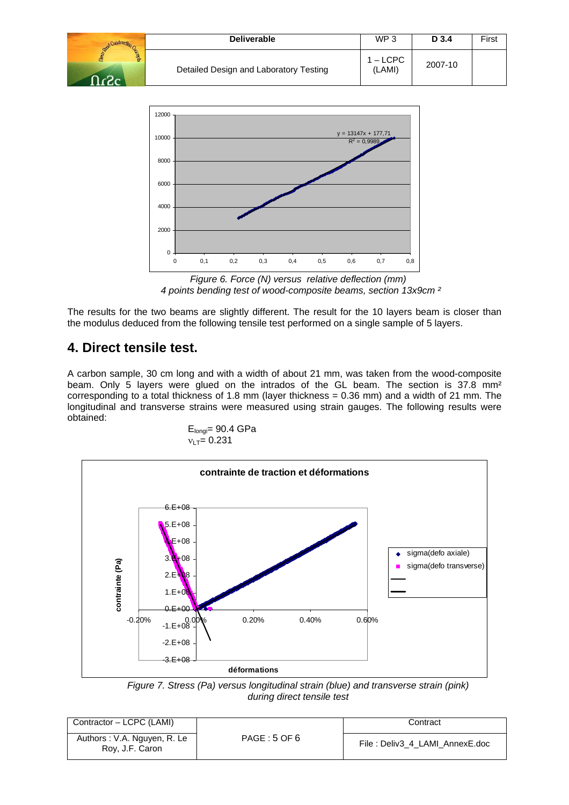| Construction                                   | <b>Deliverable</b>                     | WP <sub>3</sub>    | D 3.4   | First |
|------------------------------------------------|----------------------------------------|--------------------|---------|-------|
| <b>SPEREDES</b><br>$\mathcal{L}_{\mathcal{L}}$ | Detailed Design and Laboratory Testing | 1 – LCPC<br>(LAMI) | 2007-10 |       |



*Figure 6. Force (N) versus relative deflection (mm) 4 points bending test of wood-composite beams, section 13x9cm ²* 

The results for the two beams are slightly different. The result for the 10 layers beam is closer than the modulus deduced from the following tensile test performed on a single sample of 5 layers.

### **4. Direct tensile test.**

A carbon sample, 30 cm long and with a width of about 21 mm, was taken from the wood-composite beam. Only 5 layers were glued on the intrados of the GL beam. The section is 37.8 mm<sup>2</sup> corresponding to a total thickness of 1.8 mm (layer thickness = 0.36 mm) and a width of 21 mm. The longitudinal and transverse strains were measured using strain gauges. The following results were obtained:

$$
E_{longi}=90.4 \text{ GPa}
$$
  

$$
v_{LT}=0.231
$$



*Figure 7. Stress (Pa) versus longitudinal strain (blue) and transverse strain (pink) during direct tensile test* 

| Contractor - LCPC (LAMI)                       |             | Contract                       |
|------------------------------------------------|-------------|--------------------------------|
| Authors: V.A. Nguyen, R. Le<br>Roy, J.F. Caron | PAGE:5 OF 6 | File: Deliv3 4 LAMI AnnexE.doc |